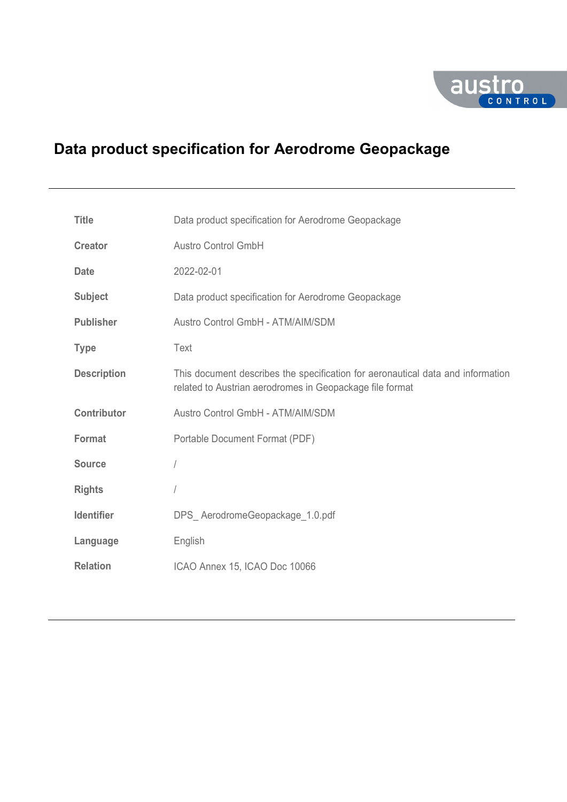

# **Data product specification for Aerodrome Geopackage**

| <b>Title</b>       | Data product specification for Aerodrome Geopackage                                                                                         |
|--------------------|---------------------------------------------------------------------------------------------------------------------------------------------|
| <b>Creator</b>     | <b>Austro Control GmbH</b>                                                                                                                  |
| <b>Date</b>        | 2022-02-01                                                                                                                                  |
| <b>Subject</b>     | Data product specification for Aerodrome Geopackage                                                                                         |
| <b>Publisher</b>   | Austro Control GmbH - ATM/AIM/SDM                                                                                                           |
| <b>Type</b>        | Text                                                                                                                                        |
| <b>Description</b> | This document describes the specification for aeronautical data and information<br>related to Austrian aerodromes in Geopackage file format |
| <b>Contributor</b> | Austro Control GmbH - ATM/AIM/SDM                                                                                                           |
| Format             | Portable Document Format (PDF)                                                                                                              |
| <b>Source</b>      |                                                                                                                                             |
| <b>Rights</b>      |                                                                                                                                             |
| <b>Identifier</b>  | DPS AerodromeGeopackage 1.0.pdf                                                                                                             |
| Language           | English                                                                                                                                     |
| <b>Relation</b>    | ICAO Annex 15, ICAO Doc 10066                                                                                                               |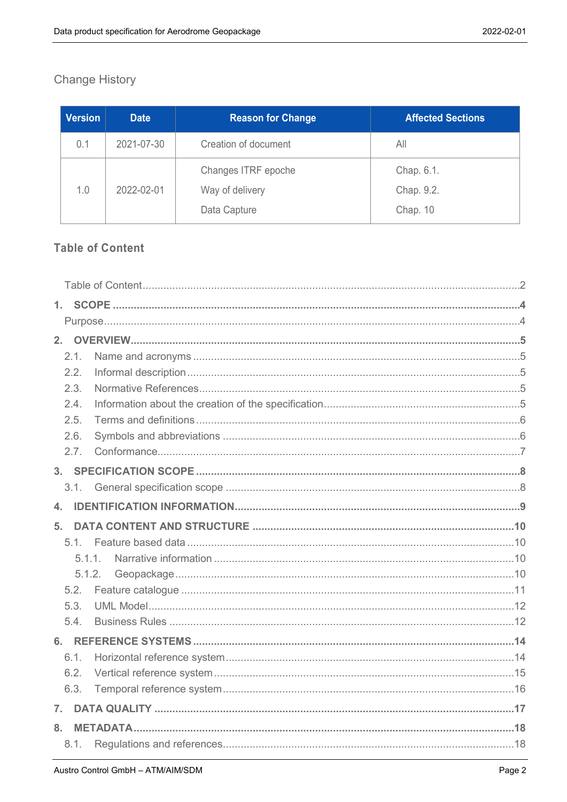# **Change History**

| <b>Version</b> | <b>Date</b> | <b>Reason for Change</b> | <b>Affected Sections</b> |
|----------------|-------------|--------------------------|--------------------------|
| 0.1            | 2021-07-30  | Creation of document     | All                      |
|                |             | Changes ITRF epoche      | Chap. 6.1.               |
| 1.0            | 2022-02-01  | Way of delivery          | Chap. 9.2.               |
|                |             | Data Capture             | Chap. 10                 |

# <span id="page-1-0"></span>**Table of Content**

| 2. |        |  |
|----|--------|--|
|    | 2.1.   |  |
|    | 2.2.   |  |
|    | 2.3.   |  |
|    | 2.4.   |  |
|    | 2.5.   |  |
|    | 2.6.   |  |
|    | 2.7.   |  |
|    |        |  |
|    | 3.1    |  |
| 4. |        |  |
| 5. |        |  |
|    | 5.1    |  |
|    | 5.1.1. |  |
|    | 5.1.2. |  |
|    | 5.2.   |  |
|    | 5.3.   |  |
|    | 5.4.   |  |
|    |        |  |
|    | 6.1.   |  |
|    | 6.2.   |  |
|    | 6.3.   |  |
| 7. |        |  |
| 8. |        |  |
|    | 8.1.   |  |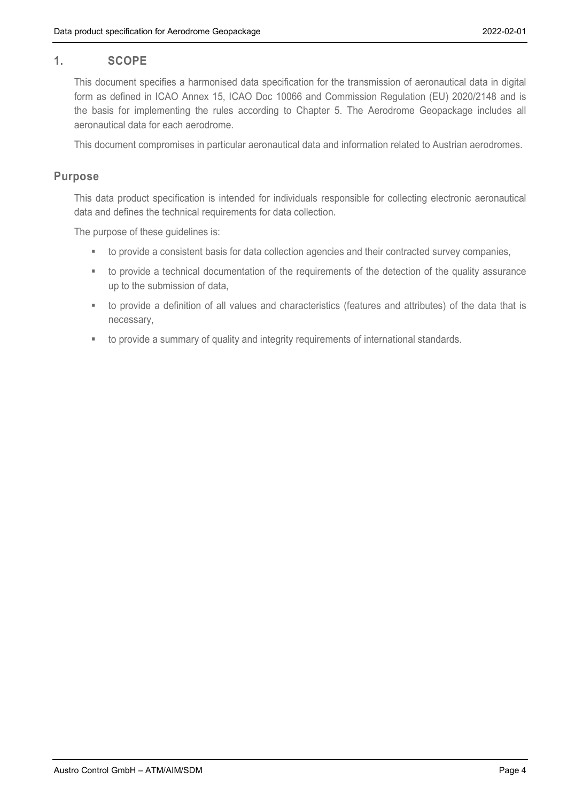## <span id="page-3-0"></span>**1. SCOPE**

This document specifies a harmonised data specification for the transmission of aeronautical data in digital form as defined in ICAO Annex 15, ICAO Doc 10066 and Commission Regulation (EU) 2020/2148 and is the basis for implementing the rules according to Chapter 5. The Aerodrome Geopackage includes all aeronautical data for each aerodrome.

This document compromises in particular aeronautical data and information related to Austrian aerodromes.

#### <span id="page-3-1"></span>**Purpose**

This data product specification is intended for individuals responsible for collecting electronic aeronautical data and defines the technical requirements for data collection.

The purpose of these guidelines is:

- to provide a consistent basis for data collection agencies and their contracted survey companies,
- to provide a technical documentation of the requirements of the detection of the quality assurance up to the submission of data,
- to provide a definition of all values and characteristics (features and attributes) of the data that is necessary,
- to provide a summary of quality and integrity requirements of international standards.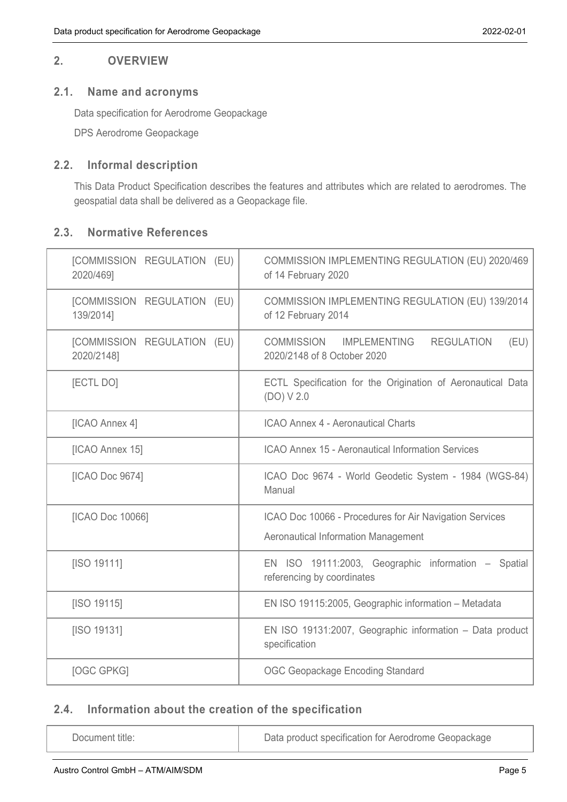#### <span id="page-4-0"></span>**2. OVERVIEW**

#### <span id="page-4-1"></span>**2.1. Name and acronyms**

Data specification for Aerodrome Geopackage

DPS Aerodrome Geopackage

#### <span id="page-4-2"></span>**2.2. Informal description**

This Data Product Specification describes the features and attributes which are related to aerodromes. The geospatial data shall be delivered as a Geopackage file.

#### <span id="page-4-3"></span>**2.3. Normative References**

| [COMMISSION REGULATION (EU)<br>2020/469]  | COMMISSION IMPLEMENTING REGULATION (EU) 2020/469<br>of 14 February 2020                               |
|-------------------------------------------|-------------------------------------------------------------------------------------------------------|
| [COMMISSION REGULATION (EU)<br>139/2014]  | COMMISSION IMPLEMENTING REGULATION (EU) 139/2014<br>of 12 February 2014                               |
| [COMMISSION REGULATION (EU)<br>2020/2148] | COMMISSION IMPLEMENTING<br><b>REGULATION</b><br>(EU)<br>2020/2148 of 8 October 2020                   |
| [ECTL DO]                                 | ECTL Specification for the Origination of Aeronautical Data<br>(DO) V 2.0                             |
| [ICAO Annex 4]                            | <b>ICAO Annex 4 - Aeronautical Charts</b>                                                             |
| [ICAO Annex 15]                           | <b>ICAO Annex 15 - Aeronautical Information Services</b>                                              |
| [ICAO Doc 9674]                           | ICAO Doc 9674 - World Geodetic System - 1984 (WGS-84)<br>Manual                                       |
| [ICAO Doc 10066]                          | ICAO Doc 10066 - Procedures for Air Navigation Services<br><b>Aeronautical Information Management</b> |
| [ISO 19111]                               | EN ISO 19111:2003, Geographic information - Spatial<br>referencing by coordinates                     |
| [ISO 19115]                               | EN ISO 19115:2005, Geographic information - Metadata                                                  |
| [ISO 19131]                               | EN ISO 19131:2007, Geographic information - Data product<br>specification                             |
| [OGC GPKG]                                | <b>OGC Geopackage Encoding Standard</b>                                                               |

# <span id="page-4-4"></span>**2.4. Information about the creation of the specification**

Document title: <br> Data product specification for Aerodrome Geopackage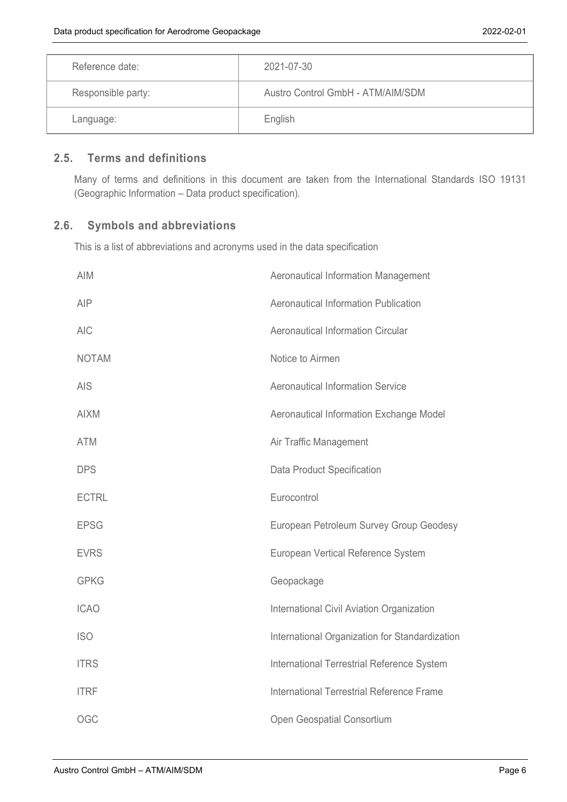| Reference date:    | 2021-07-30                        |
|--------------------|-----------------------------------|
| Responsible party: | Austro Control GmbH - ATM/AIM/SDM |
| Language:          | English                           |

## <span id="page-5-0"></span>**2.5. Terms and definitions**

Many of terms and definitions in this document are taken from the International Standards ISO 19131 (Geographic Information – Data product specification).

# <span id="page-5-1"></span>**2.6. Symbols and abbreviations**

This is a list of abbreviations and acronyms used in the data specification

| <b>AIM</b>   | Aeronautical Information Management            |
|--------------|------------------------------------------------|
| <b>AIP</b>   | Aeronautical Information Publication           |
| <b>AIC</b>   | <b>Aeronautical Information Circular</b>       |
| <b>NOTAM</b> | Notice to Airmen                               |
| <b>AIS</b>   | <b>Aeronautical Information Service</b>        |
| <b>AIXM</b>  | Aeronautical Information Exchange Model        |
| <b>ATM</b>   | Air Traffic Management                         |
| <b>DPS</b>   | Data Product Specification                     |
| <b>ECTRL</b> | Eurocontrol                                    |
| <b>EPSG</b>  | European Petroleum Survey Group Geodesy        |
| <b>EVRS</b>  | European Vertical Reference System             |
| <b>GPKG</b>  | Geopackage                                     |
| <b>ICAO</b>  | International Civil Aviation Organization      |
| <b>ISO</b>   | International Organization for Standardization |
| <b>ITRS</b>  | International Terrestrial Reference System     |
| <b>ITRF</b>  | International Terrestrial Reference Frame      |
| <b>OGC</b>   | Open Geospatial Consortium                     |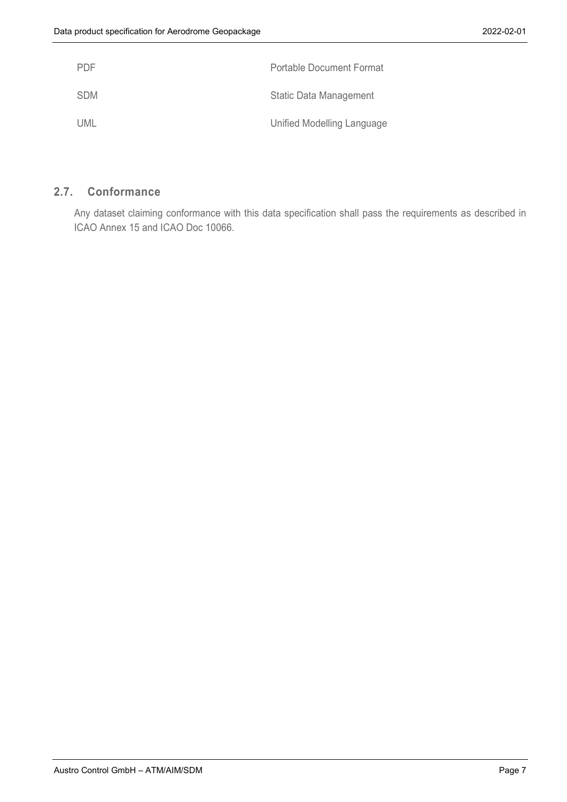| <b>PDF</b> | <b>Portable Document Format</b> |
|------------|---------------------------------|
| <b>SDM</b> | <b>Static Data Management</b>   |
| UML        | Unified Modelling Language      |

#### <span id="page-6-0"></span>**2.7. Conformance**

Any dataset claiming conformance with this data specification shall pass the requirements as described in ICAO Annex 15 and ICAO Doc 10066.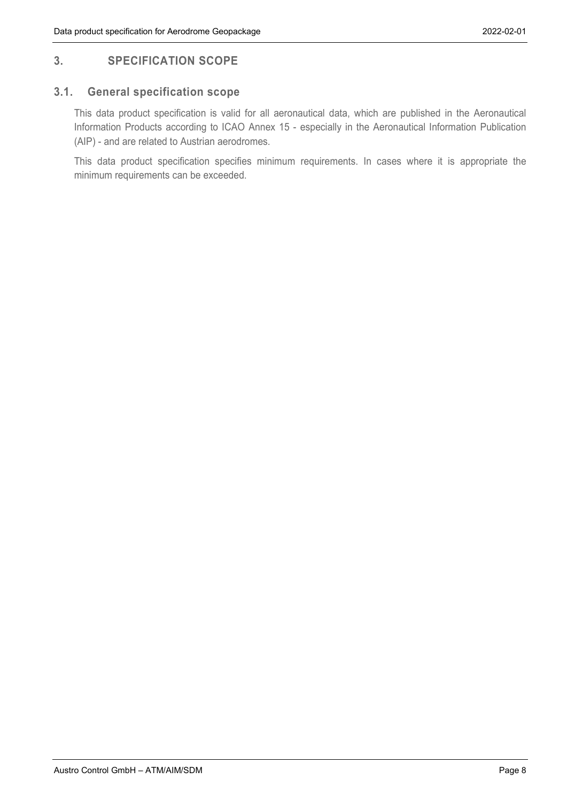# <span id="page-7-0"></span>**3. SPECIFICATION SCOPE**

## <span id="page-7-1"></span>**3.1. General specification scope**

This data product specification is valid for all aeronautical data, which are published in the Aeronautical Information Products according to ICAO Annex 15 - especially in the Aeronautical Information Publication (AIP) - and are related to Austrian aerodromes.

This data product specification specifies minimum requirements. In cases where it is appropriate the minimum requirements can be exceeded.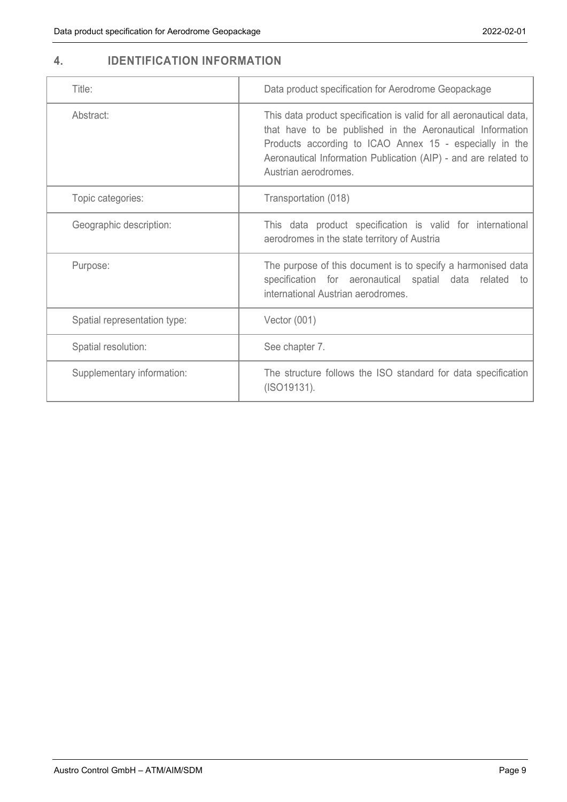# <span id="page-8-0"></span>**4. IDENTIFICATION INFORMATION**

| Title:                       | Data product specification for Aerodrome Geopackage                                                                                                                                                                                                                                   |
|------------------------------|---------------------------------------------------------------------------------------------------------------------------------------------------------------------------------------------------------------------------------------------------------------------------------------|
| Abstract:                    | This data product specification is valid for all aeronautical data,<br>that have to be published in the Aeronautical Information<br>Products according to ICAO Annex 15 - especially in the<br>Aeronautical Information Publication (AIP) - and are related to<br>Austrian aerodromes |
| Topic categories:            | Transportation (018)                                                                                                                                                                                                                                                                  |
| Geographic description:      | This data product specification is valid for international<br>aerodromes in the state territory of Austria                                                                                                                                                                            |
| Purpose:                     | The purpose of this document is to specify a harmonised data<br>specification for aeronautical spatial data related<br>to<br>international Austrian aerodromes.                                                                                                                       |
| Spatial representation type: | Vector $(001)$                                                                                                                                                                                                                                                                        |
| Spatial resolution:          | See chapter 7.                                                                                                                                                                                                                                                                        |
| Supplementary information:   | The structure follows the ISO standard for data specification<br>(ISO19131).                                                                                                                                                                                                          |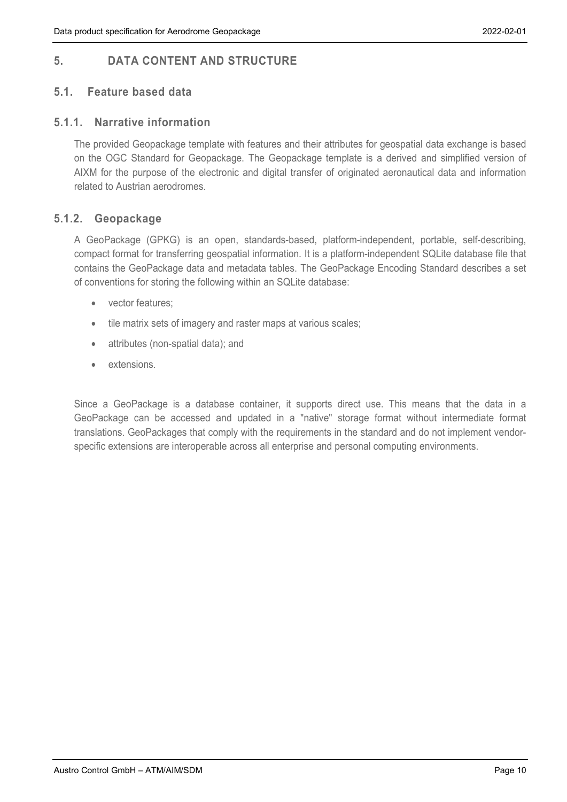# <span id="page-9-0"></span>**5. DATA CONTENT AND STRUCTURE**

## <span id="page-9-1"></span>**5.1. Feature based data**

#### <span id="page-9-2"></span>**5.1.1. Narrative information**

The provided Geopackage template with features and their attributes for geospatial data exchange is based on the OGC Standard for Geopackage. The Geopackage template is a derived and simplified version of AIXM for the purpose of the electronic and digital transfer of originated aeronautical data and information related to Austrian aerodromes.

#### <span id="page-9-3"></span>**5.1.2. Geopackage**

A GeoPackage (GPKG) is an open, standards-based, platform-independent, portable, self-describing, compact format for transferring geospatial information. It is a platform-independent SQLite database file that contains the GeoPackage data and metadata tables. The GeoPackage Encoding Standard describes a set of conventions for storing the following within an SQLite database:

- vector features:
- tile matrix sets of imagery and raster maps at various scales;
- attributes (non-spatial data); and
- extensions.

Since a GeoPackage is a database container, it supports direct use. This means that the data in a GeoPackage can be accessed and updated in a "native" storage format without intermediate format translations. GeoPackages that comply with the requirements in the standard and do not implement vendorspecific extensions are interoperable across all enterprise and personal computing environments.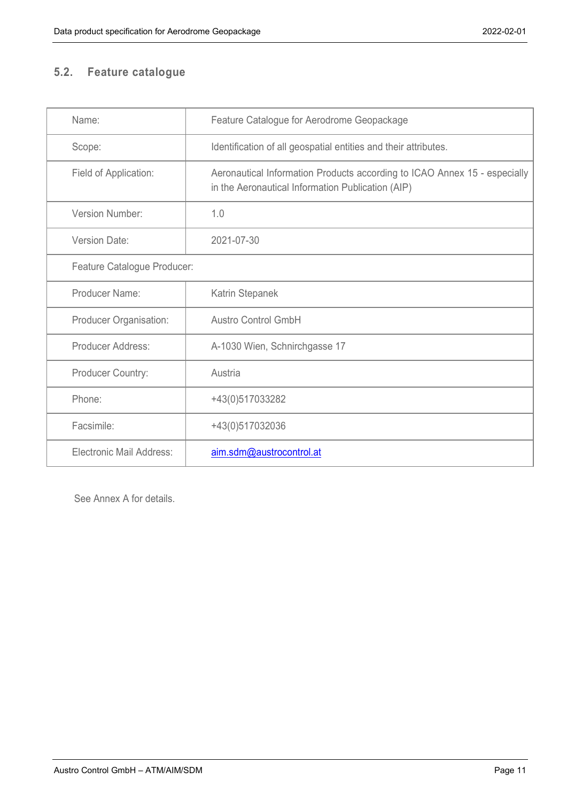# <span id="page-10-0"></span>**5.2. Feature catalogue**

| Name:                       | Feature Catalogue for Aerodrome Geopackage                                                                                     |
|-----------------------------|--------------------------------------------------------------------------------------------------------------------------------|
| Scope:                      | Identification of all geospatial entities and their attributes.                                                                |
| Field of Application:       | Aeronautical Information Products according to ICAO Annex 15 - especially<br>in the Aeronautical Information Publication (AIP) |
| Version Number:             | 1.0                                                                                                                            |
| Version Date:               | 2021-07-30                                                                                                                     |
| Feature Catalogue Producer: |                                                                                                                                |
| Producer Name:              | Katrin Stepanek                                                                                                                |
| Producer Organisation:      | <b>Austro Control GmbH</b>                                                                                                     |
| Producer Address:           | A-1030 Wien, Schnirchgasse 17                                                                                                  |
| Producer Country:           | Austria                                                                                                                        |
| Phone:                      | +43(0)517033282                                                                                                                |
| Facsimile:                  | +43(0)517032036                                                                                                                |
| Electronic Mail Address:    | aim.sdm@austrocontrol.at                                                                                                       |

See Annex A for details.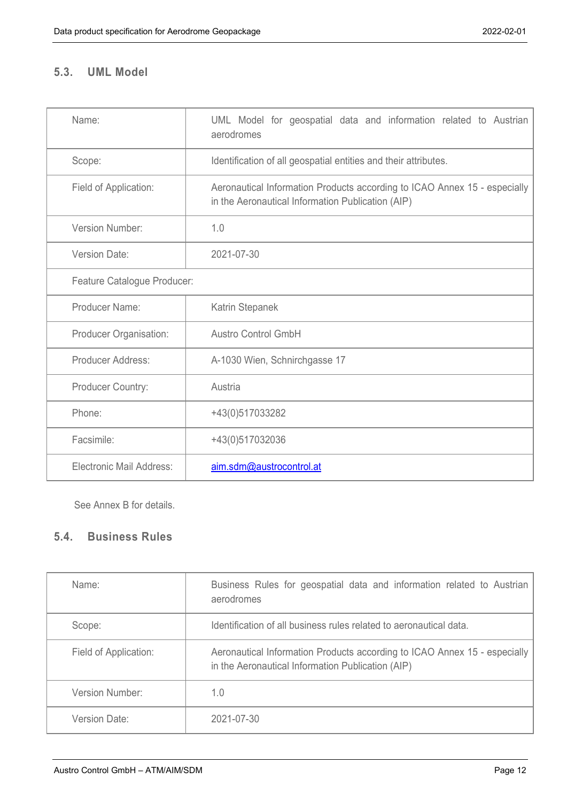# <span id="page-11-0"></span>**5.3. UML Model**

| Name:                       | UML Model for geospatial data and information related to Austrian<br>aerodromes                                                |
|-----------------------------|--------------------------------------------------------------------------------------------------------------------------------|
| Scope:                      | Identification of all geospatial entities and their attributes.                                                                |
| Field of Application:       | Aeronautical Information Products according to ICAO Annex 15 - especially<br>in the Aeronautical Information Publication (AIP) |
| Version Number:             | 1.0                                                                                                                            |
| <b>Version Date:</b>        | 2021-07-30                                                                                                                     |
| Feature Catalogue Producer: |                                                                                                                                |
| Producer Name:              | Katrin Stepanek                                                                                                                |
| Producer Organisation:      | <b>Austro Control GmbH</b>                                                                                                     |
| <b>Producer Address:</b>    | A-1030 Wien, Schnirchgasse 17                                                                                                  |
| Producer Country:           | Austria                                                                                                                        |
| Phone:                      | +43(0)517033282                                                                                                                |
| Facsimile:                  | +43(0)517032036                                                                                                                |
| Electronic Mail Address:    | aim.sdm@austrocontrol.at                                                                                                       |

See Annex B for details.

# <span id="page-11-1"></span>**5.4. Business Rules**

| Name:                  | Business Rules for geospatial data and information related to Austrian<br>aerodromes                                           |
|------------------------|--------------------------------------------------------------------------------------------------------------------------------|
| Scope:                 | Identification of all business rules related to aeronautical data.                                                             |
| Field of Application:  | Aeronautical Information Products according to ICAO Annex 15 - especially<br>in the Aeronautical Information Publication (AIP) |
| <b>Version Number:</b> | 1.0                                                                                                                            |
| Version Date:          | 2021-07-30                                                                                                                     |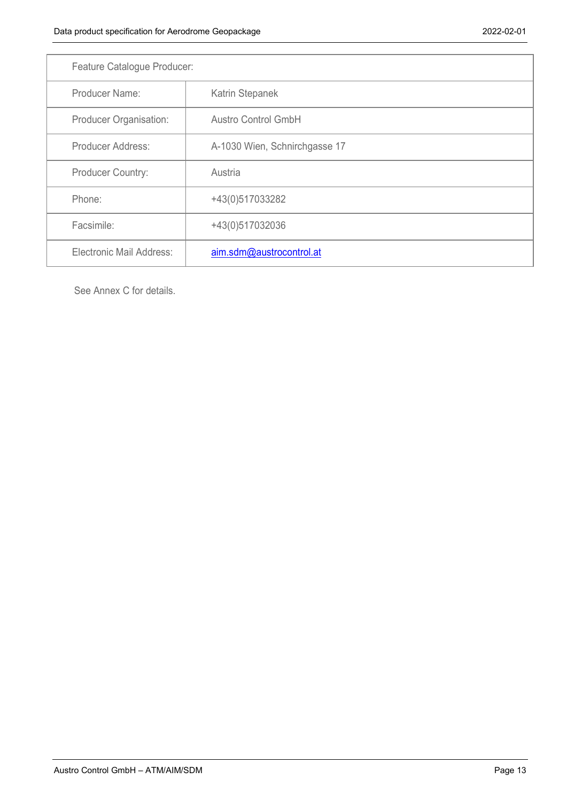| Feature Catalogue Producer: |                               |  |
|-----------------------------|-------------------------------|--|
| Producer Name:              | Katrin Stepanek               |  |
| Producer Organisation:      | <b>Austro Control GmbH</b>    |  |
| Producer Address:           | A-1030 Wien, Schnirchgasse 17 |  |
| <b>Producer Country:</b>    | Austria                       |  |
| Phone:                      | +43(0)517033282               |  |
| Facsimile:                  | +43(0)517032036               |  |
| Electronic Mail Address:    | aim.sdm@austrocontrol.at      |  |

See Annex C for details.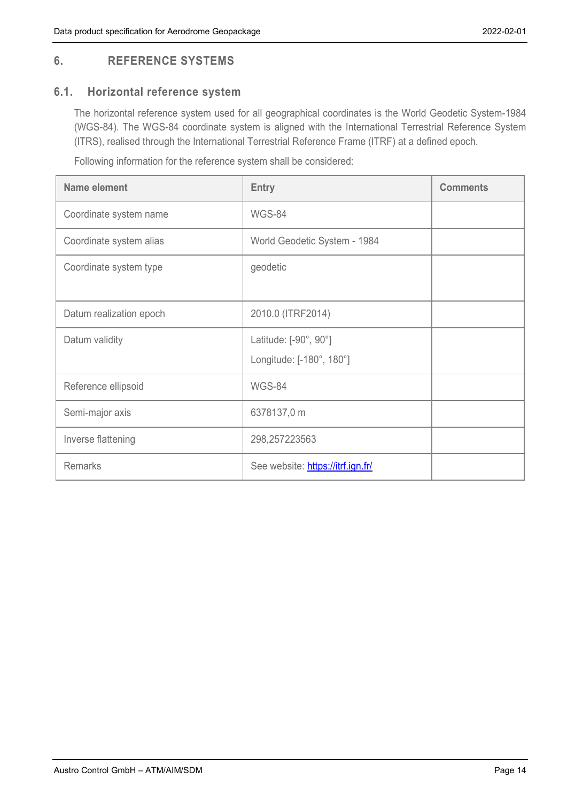# <span id="page-13-0"></span>**6. REFERENCE SYSTEMS**

# <span id="page-13-1"></span>**6.1. Horizontal reference system**

The horizontal reference system used for all geographical coordinates is the World Geodetic System-1984 (WGS-84). The WGS-84 coordinate system is aligned with the International Terrestrial Reference System (ITRS), realised through the International Terrestrial Reference Frame (ITRF) at a defined epoch.

Following information for the reference system shall be considered:

| Name element            | <b>Entry</b>                                      | <b>Comments</b> |
|-------------------------|---------------------------------------------------|-----------------|
| Coordinate system name  | WGS-84                                            |                 |
| Coordinate system alias | World Geodetic System - 1984                      |                 |
| Coordinate system type  | geodetic                                          |                 |
| Datum realization epoch | 2010.0 (ITRF2014)                                 |                 |
| Datum validity          | Latitude: [-90°, 90°]<br>Longitude: [-180°, 180°] |                 |
| Reference ellipsoid     | WGS-84                                            |                 |
| Semi-major axis         | 6378137,0 m                                       |                 |
| Inverse flattening      | 298,257223563                                     |                 |
| <b>Remarks</b>          | See website: https://itrf.ign.fr/                 |                 |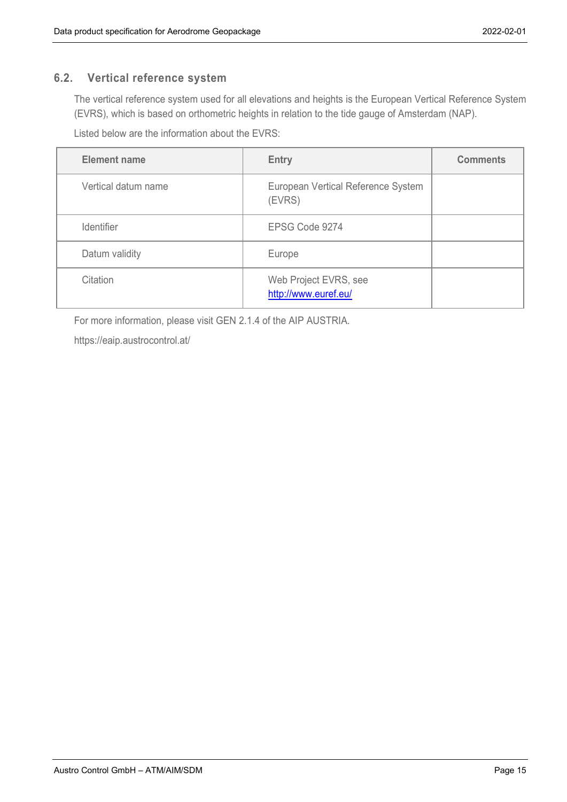#### <span id="page-14-0"></span>**6.2. Vertical reference system**

The vertical reference system used for all elevations and heights is the European Vertical Reference System (EVRS), which is based on orthometric heights in relation to the tide gauge of Amsterdam (NAP).

Listed below are the information about the EVRS:

| <b>Element name</b> | <b>Entry</b>                                  | <b>Comments</b> |
|---------------------|-----------------------------------------------|-----------------|
| Vertical datum name | European Vertical Reference System<br>(EVRS)  |                 |
| <b>Identifier</b>   | EPSG Code 9274                                |                 |
| Datum validity      | Europe                                        |                 |
| Citation            | Web Project EVRS, see<br>http://www.euref.eu/ |                 |

For more information, please visit GEN 2.1.4 of the AIP AUSTRIA.

<https://eaip.austrocontrol.at/>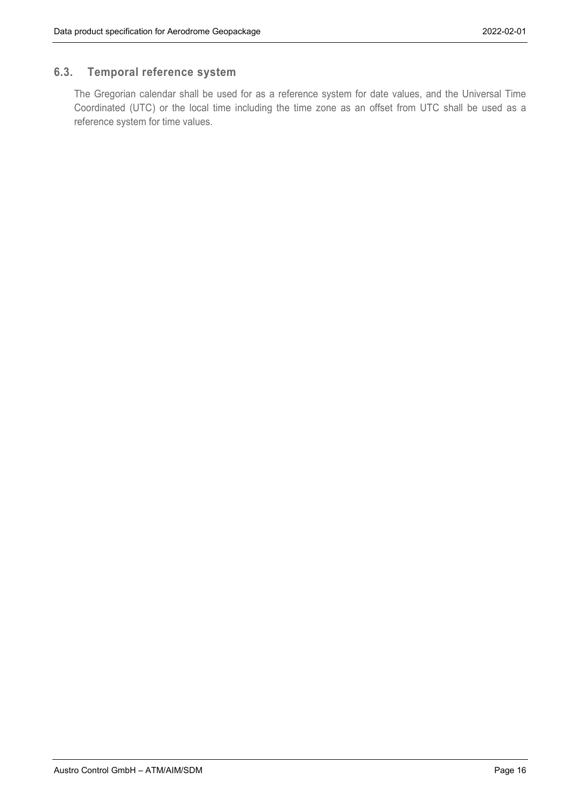# <span id="page-15-0"></span>**6.3. Temporal reference system**

The Gregorian calendar shall be used for as a reference system for date values, and the Universal Time Coordinated (UTC) or the local time including the time zone as an offset from UTC shall be used as a reference system for time values.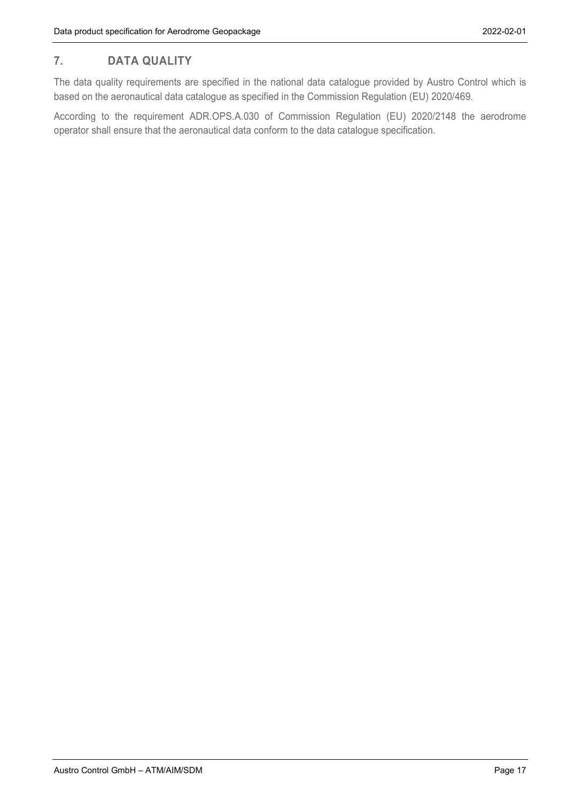# <span id="page-16-0"></span>**7. DATA QUALITY**

The data quality requirements are specified in the national data catalogue provided by Austro Control which is based on the aeronautical data catalogue as specified in the Commission Regulation (EU) 2020/469.

According to the requirement ADR.OPS.A.030 of Commission Regulation (EU) 2020/2148 the aerodrome operator shall ensure that the aeronautical data conform to the data catalogue specification.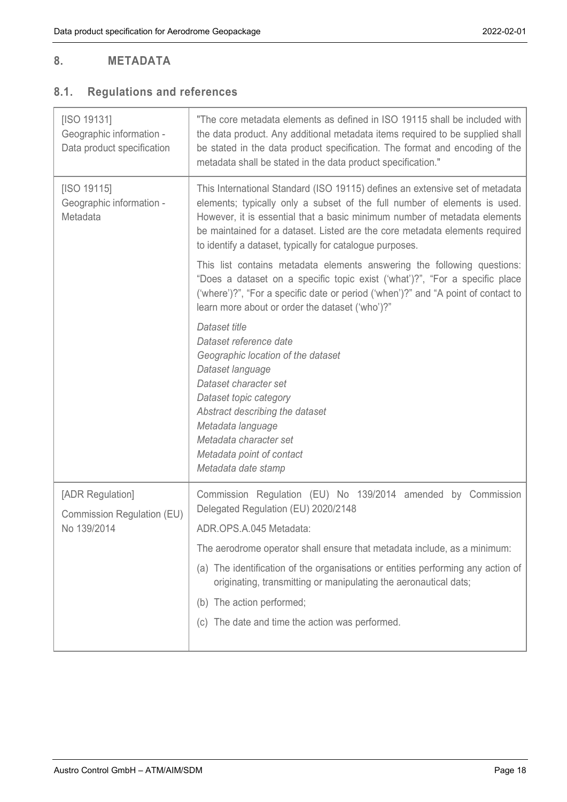# <span id="page-17-0"></span>**8. METADATA**

# <span id="page-17-1"></span>**8.1. Regulations and references**

| [ISO 19131]<br>Geographic information -<br>Data product specification | "The core metadata elements as defined in ISO 19115 shall be included with<br>the data product. Any additional metadata items required to be supplied shall<br>be stated in the data product specification. The format and encoding of the<br>metadata shall be stated in the data product specification."                                                                        |
|-----------------------------------------------------------------------|-----------------------------------------------------------------------------------------------------------------------------------------------------------------------------------------------------------------------------------------------------------------------------------------------------------------------------------------------------------------------------------|
| [ISO 19115]<br>Geographic information -<br>Metadata                   | This International Standard (ISO 19115) defines an extensive set of metadata<br>elements; typically only a subset of the full number of elements is used.<br>However, it is essential that a basic minimum number of metadata elements<br>be maintained for a dataset. Listed are the core metadata elements required<br>to identify a dataset, typically for catalogue purposes. |
|                                                                       | This list contains metadata elements answering the following questions:<br>"Does a dataset on a specific topic exist ('what')?", "For a specific place<br>('where')?", "For a specific date or period ('when')?" and "A point of contact to<br>learn more about or order the dataset ('who')?"                                                                                    |
|                                                                       | Dataset title<br>Dataset reference date<br>Geographic location of the dataset<br>Dataset language<br>Dataset character set<br>Dataset topic category<br>Abstract describing the dataset<br>Metadata language<br>Metadata character set<br>Metadata point of contact<br>Metadata date stamp                                                                                        |
| [ADR Regulation]                                                      | Commission Regulation (EU) No 139/2014 amended by Commission                                                                                                                                                                                                                                                                                                                      |
| Commission Regulation (EU)<br>No 139/2014                             | Delegated Regulation (EU) 2020/2148<br>ADR.OPS.A.045 Metadata:                                                                                                                                                                                                                                                                                                                    |
|                                                                       | The aerodrome operator shall ensure that metadata include, as a minimum:                                                                                                                                                                                                                                                                                                          |
|                                                                       | (a) The identification of the organisations or entities performing any action of<br>originating, transmitting or manipulating the aeronautical dats;                                                                                                                                                                                                                              |
|                                                                       | (b) The action performed;                                                                                                                                                                                                                                                                                                                                                         |
|                                                                       | (c) The date and time the action was performed.                                                                                                                                                                                                                                                                                                                                   |
|                                                                       |                                                                                                                                                                                                                                                                                                                                                                                   |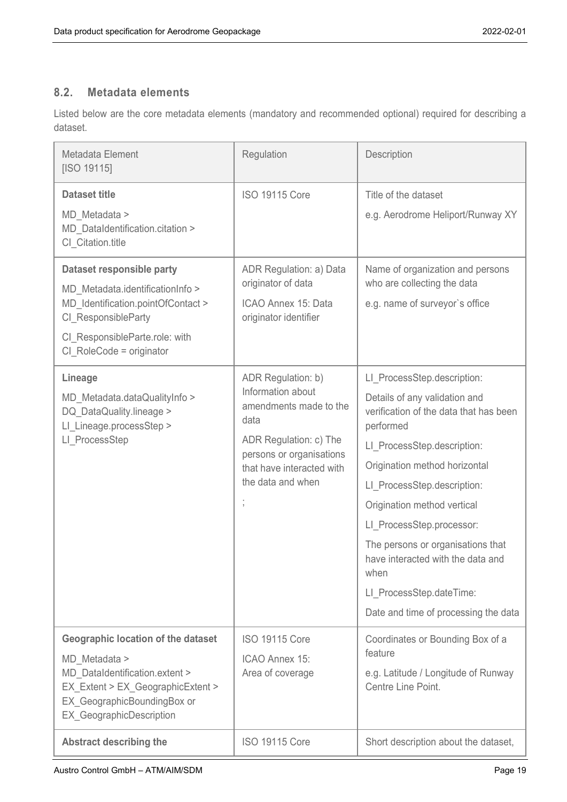# <span id="page-18-0"></span>**8.2. Metadata elements**

Listed below are the core metadata elements (mandatory and recommended optional) required for describing a dataset.

| Metadata Element<br>[ISO 19115]                                                                                                                                                                     | Regulation                                                                                                                                                                        | Description                                                                                                                                                                                                                                                                                                                                                                                                                          |
|-----------------------------------------------------------------------------------------------------------------------------------------------------------------------------------------------------|-----------------------------------------------------------------------------------------------------------------------------------------------------------------------------------|--------------------------------------------------------------------------------------------------------------------------------------------------------------------------------------------------------------------------------------------------------------------------------------------------------------------------------------------------------------------------------------------------------------------------------------|
| <b>Dataset title</b><br>MD Metadata ><br>MD DataIdentification.citation ><br>CI Citation.title                                                                                                      | <b>ISO 19115 Core</b>                                                                                                                                                             | Title of the dataset<br>e.g. Aerodrome Heliport/Runway XY                                                                                                                                                                                                                                                                                                                                                                            |
| Dataset responsible party<br>MD Metadata.identificationInfo ><br>MD Identification.pointOfContact ><br>CI ResponsibleParty<br>CI ResponsibleParte.role: with<br>CI RoleCode = originator            | ADR Regulation: a) Data<br>originator of data<br>ICAO Annex 15: Data<br>originator identifier                                                                                     | Name of organization and persons<br>who are collecting the data<br>e.g. name of surveyor's office                                                                                                                                                                                                                                                                                                                                    |
| Lineage<br>MD Metadata.dataQualityInfo ><br>DQ DataQuality.lineage ><br>LI Lineage.processStep ><br>LI ProcessStep                                                                                  | ADR Regulation: b)<br>Information about<br>amendments made to the<br>data<br>ADR Regulation: c) The<br>persons or organisations<br>that have interacted with<br>the data and when | LI ProcessStep.description:<br>Details of any validation and<br>verification of the data that has been<br>performed<br>LI ProcessStep.description:<br>Origination method horizontal<br>LI ProcessStep.description:<br>Origination method vertical<br>LI ProcessStep.processor:<br>The persons or organisations that<br>have interacted with the data and<br>when<br>LI ProcessStep.dateTime:<br>Date and time of processing the data |
| <b>Geographic location of the dataset</b><br>MD Metadata ><br>MD DataIdentification.extent ><br>EX Extent > EX GeographicExtent ><br>EX_GeographicBoundingBox or<br><b>EX GeographicDescription</b> | <b>ISO 19115 Core</b><br>ICAO Annex 15:<br>Area of coverage                                                                                                                       | Coordinates or Bounding Box of a<br>feature<br>e.g. Latitude / Longitude of Runway<br>Centre Line Point.                                                                                                                                                                                                                                                                                                                             |
| <b>Abstract describing the</b>                                                                                                                                                                      | <b>ISO 19115 Core</b>                                                                                                                                                             | Short description about the dataset,                                                                                                                                                                                                                                                                                                                                                                                                 |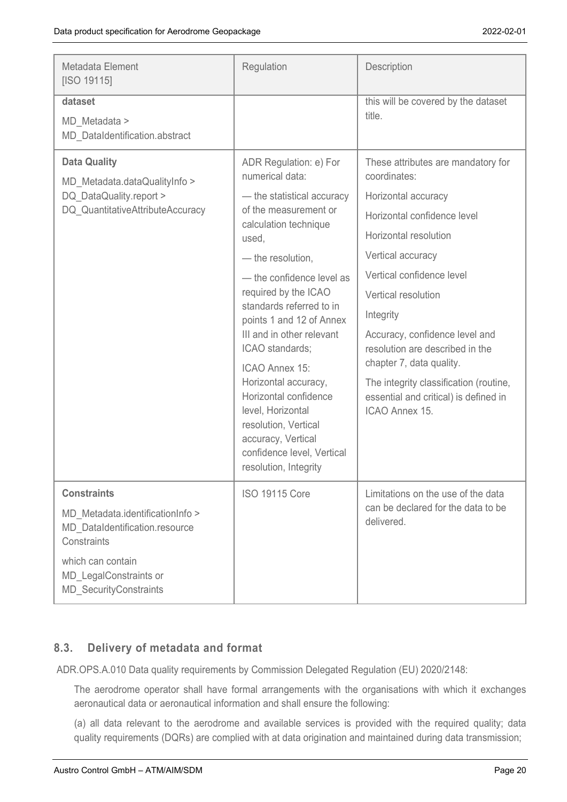| Metadata Element<br>[ISO 19115]                                                                                                                                                         | Regulation                                                                                                                                                                                                                                                                                                                                                                                                                                                                                                        | Description                                                                                                                                                                                                                                                                                                                                                                                                                   |
|-----------------------------------------------------------------------------------------------------------------------------------------------------------------------------------------|-------------------------------------------------------------------------------------------------------------------------------------------------------------------------------------------------------------------------------------------------------------------------------------------------------------------------------------------------------------------------------------------------------------------------------------------------------------------------------------------------------------------|-------------------------------------------------------------------------------------------------------------------------------------------------------------------------------------------------------------------------------------------------------------------------------------------------------------------------------------------------------------------------------------------------------------------------------|
| dataset<br>MD Metadata ><br>MD DataIdentification.abstract                                                                                                                              |                                                                                                                                                                                                                                                                                                                                                                                                                                                                                                                   | this will be covered by the dataset<br>title.                                                                                                                                                                                                                                                                                                                                                                                 |
| <b>Data Quality</b><br>MD Metadata.dataQualityInfo ><br>DQ DataQuality.report ><br>DQ QuantitativeAttributeAccuracy                                                                     | ADR Regulation: e) For<br>numerical data:<br>- the statistical accuracy<br>of the measurement or<br>calculation technique<br>used,<br>- the resolution,<br>- the confidence level as<br>required by the ICAO<br>standards referred to in<br>points 1 and 12 of Annex<br>III and in other relevant<br>ICAO standards;<br>ICAO Annex 15:<br>Horizontal accuracy,<br>Horizontal confidence<br>level, Horizontal<br>resolution, Vertical<br>accuracy, Vertical<br>confidence level, Vertical<br>resolution, Integrity | These attributes are mandatory for<br>coordinates:<br>Horizontal accuracy<br>Horizontal confidence level<br>Horizontal resolution<br>Vertical accuracy<br>Vertical confidence level<br>Vertical resolution<br>Integrity<br>Accuracy, confidence level and<br>resolution are described in the<br>chapter 7, data quality.<br>The integrity classification (routine,<br>essential and critical) is defined in<br>ICAO Annex 15. |
| <b>Constraints</b><br>MD Metadata.identificationInfo ><br>MD DataIdentification.resource<br>Constraints<br>which can contain<br>MD LegalConstraints or<br><b>MD SecurityConstraints</b> | <b>ISO 19115 Core</b>                                                                                                                                                                                                                                                                                                                                                                                                                                                                                             | Limitations on the use of the data<br>can be declared for the data to be<br>delivered.                                                                                                                                                                                                                                                                                                                                        |

# <span id="page-19-0"></span>**8.3. Delivery of metadata and format**

ADR.OPS.A.010 Data quality requirements by Commission Delegated Regulation (EU) 2020/2148:

The aerodrome operator shall have formal arrangements with the organisations with which it exchanges aeronautical data or aeronautical information and shall ensure the following:

(a) all data relevant to the aerodrome and available services is provided with the required quality; data quality requirements (DQRs) are complied with at data origination and maintained during data transmission;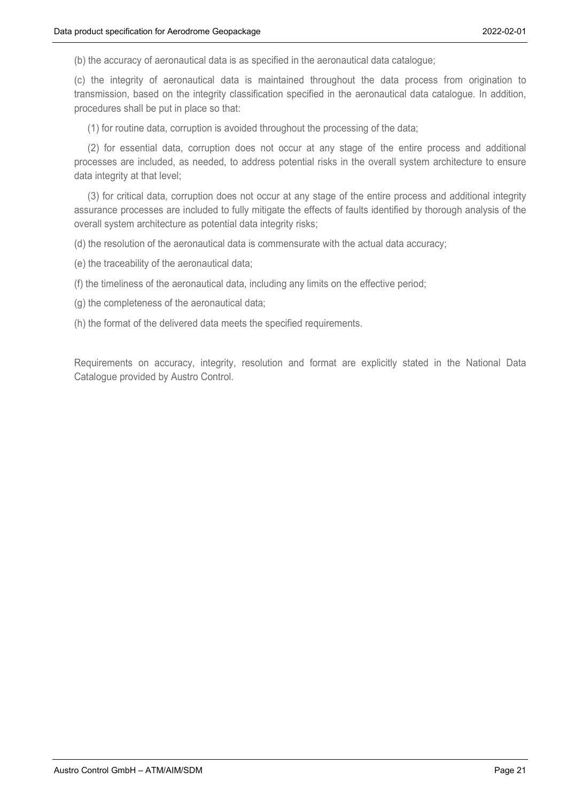(b) the accuracy of aeronautical data is as specified in the aeronautical data catalogue;

(c) the integrity of aeronautical data is maintained throughout the data process from origination to transmission, based on the integrity classification specified in the aeronautical data catalogue. In addition, procedures shall be put in place so that:

(1) for routine data, corruption is avoided throughout the processing of the data;

(2) for essential data, corruption does not occur at any stage of the entire process and additional processes are included, as needed, to address potential risks in the overall system architecture to ensure data integrity at that level;

(3) for critical data, corruption does not occur at any stage of the entire process and additional integrity assurance processes are included to fully mitigate the effects of faults identified by thorough analysis of the overall system architecture as potential data integrity risks;

(d) the resolution of the aeronautical data is commensurate with the actual data accuracy;

(e) the traceability of the aeronautical data;

(f) the timeliness of the aeronautical data, including any limits on the effective period;

(g) the completeness of the aeronautical data;

(h) the format of the delivered data meets the specified requirements.

Requirements on accuracy, integrity, resolution and format are explicitly stated in the National Data Catalogue provided by Austro Control.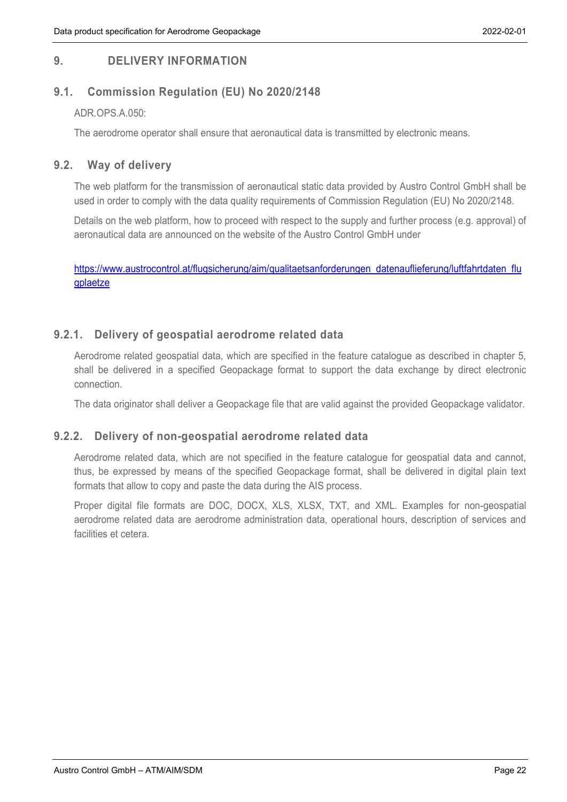# <span id="page-21-0"></span>**9. DELIVERY INFORMATION**

# <span id="page-21-1"></span>**9.1. Commission Regulation (EU) No 2020/2148**

#### ADR.OPS.A.050:

The aerodrome operator shall ensure that aeronautical data is transmitted by electronic means.

## <span id="page-21-2"></span>**9.2. Way of delivery**

The web platform for the transmission of aeronautical static data provided by Austro Control GmbH shall be used in order to comply with the data quality requirements of Commission Regulation (EU) No 2020/2148.

Details on the web platform, how to proceed with respect to the supply and further process (e.g. approval) of aeronautical data are announced on the website of the Austro Control GmbH under

[https://www.austrocontrol.at/flugsicherung/aim/qualitaetsanforderungen\\_datenauflieferung/luftfahrtdaten\\_flu](https://www.austrocontrol.at/flugsicherung/aim/qualitaetsanforderungen_datenauflieferung/luftfahrtdaten_flugplaetze) [gplaetze](https://www.austrocontrol.at/flugsicherung/aim/qualitaetsanforderungen_datenauflieferung/luftfahrtdaten_flugplaetze)

### <span id="page-21-3"></span>**9.2.1. Delivery of geospatial aerodrome related data**

Aerodrome related geospatial data, which are specified in the feature catalogue as described in chapter 5, shall be delivered in a specified Geopackage format to support the data exchange by direct electronic connection.

The data originator shall deliver a Geopackage file that are valid against the provided Geopackage validator.

#### <span id="page-21-4"></span>**9.2.2. Delivery of non-geospatial aerodrome related data**

Aerodrome related data, which are not specified in the feature catalogue for geospatial data and cannot, thus, be expressed by means of the specified Geopackage format, shall be delivered in digital plain text formats that allow to copy and paste the data during the AIS process.

Proper digital file formats are DOC, DOCX, XLS, XLSX, TXT, and XML. Examples for non-geospatial aerodrome related data are aerodrome administration data, operational hours, description of services and facilities et cetera.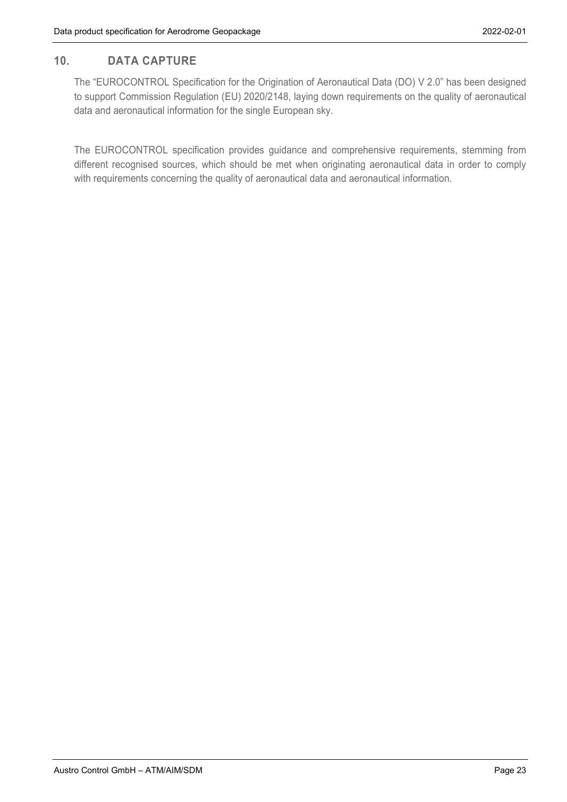# <span id="page-22-0"></span>**10. DATA CAPTURE**

The "EUROCONTROL Specification for the Origination of Aeronautical Data (DO) V 2.0" has been designed to support Commission Regulation (EU) 2020/2148, laying down requirements on the quality of aeronautical data and aeronautical information for the single European sky.

The EUROCONTROL specification provides guidance and comprehensive requirements, stemming from different recognised sources, which should be met when originating aeronautical data in order to comply with requirements concerning the quality of aeronautical data and aeronautical information.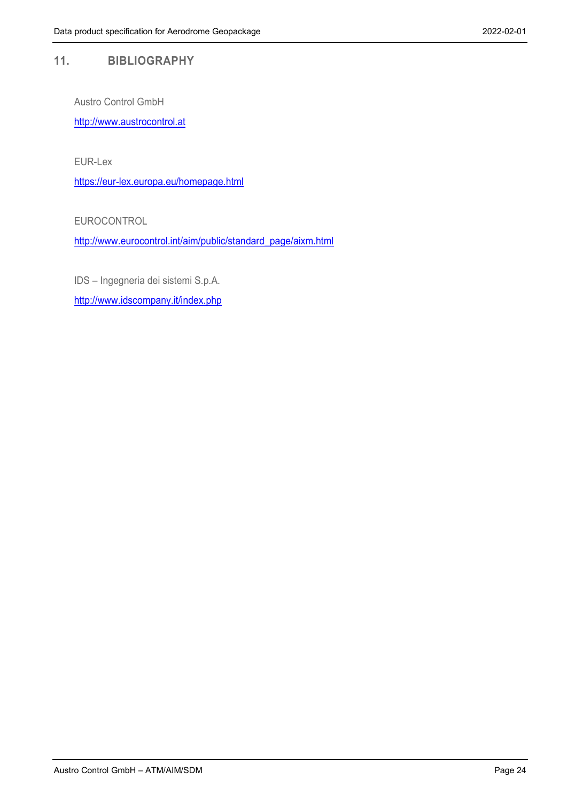#### <span id="page-23-0"></span>**11. BIBLIOGRAPHY**

Austro Control GmbH

http://www.austrocontrol.at

EUR-Lex

<https://eur-lex.europa.eu/homepage.html>

EUROCONTROL

[http://www.eurocontrol.int/aim/public/standard\\_page/aixm.html](http://www.eurocontrol.int/aim/public/standard_page/aixm.html)

IDS – Ingegneria dei sistemi S.p.A.

<http://www.idscompany.it/index.php>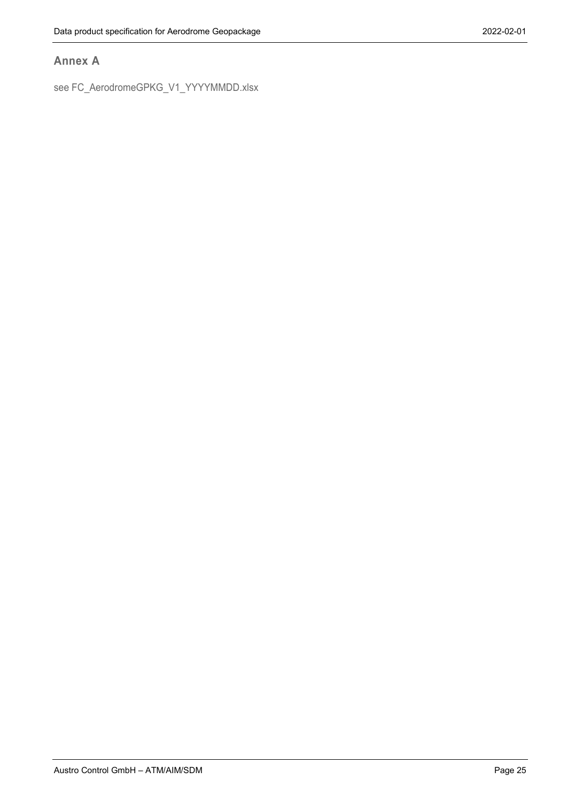### <span id="page-24-0"></span>**Annex A**

see FC\_AerodromeGPKG\_V1\_YYYYMMDD.xlsx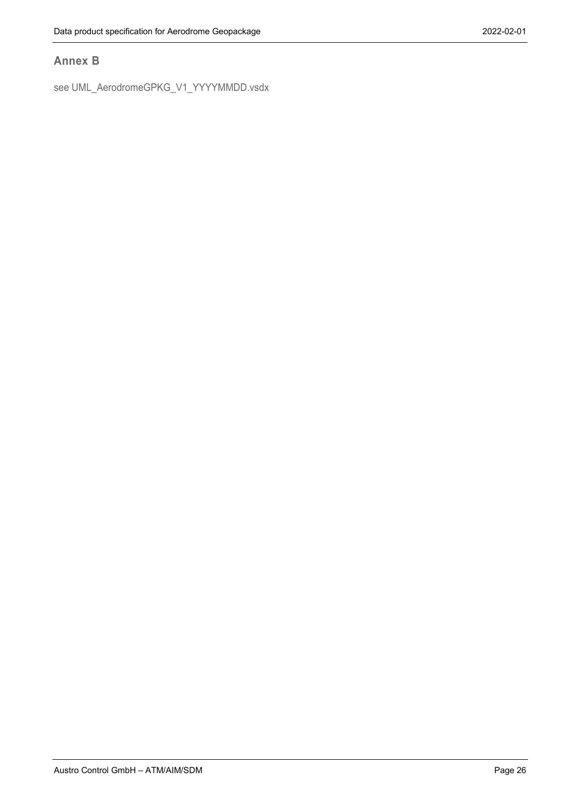## <span id="page-25-0"></span>**Annex B**

see UML\_AerodromeGPKG\_V1\_YYYYMMDD.vsdx